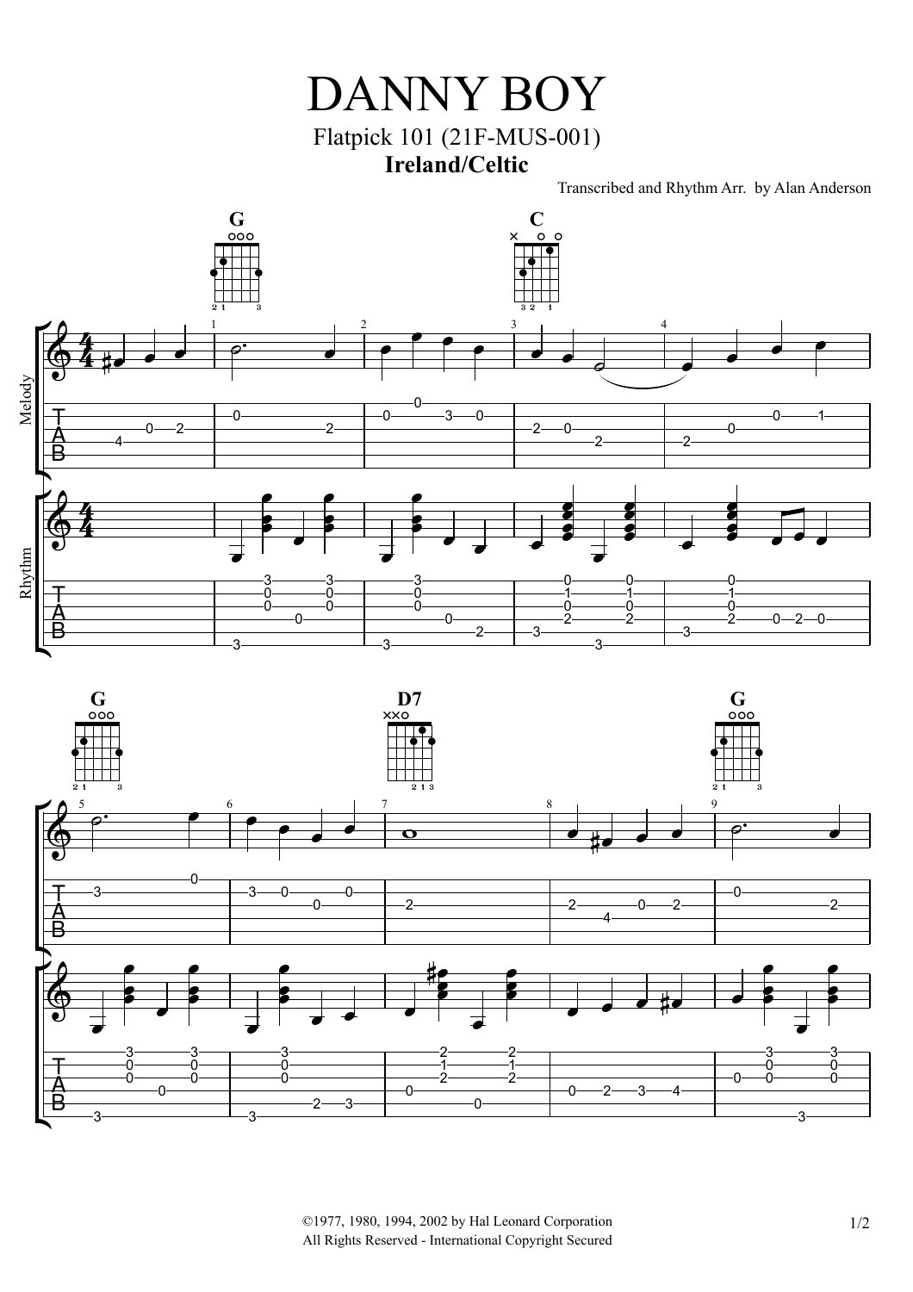

Transcribed and Rhythm Arr. by Alan Anderson





©1977, 1980, 1994, 2002 by Hal Leonard Corporation 1/2 All Rights Reserved - International Copyright Secured